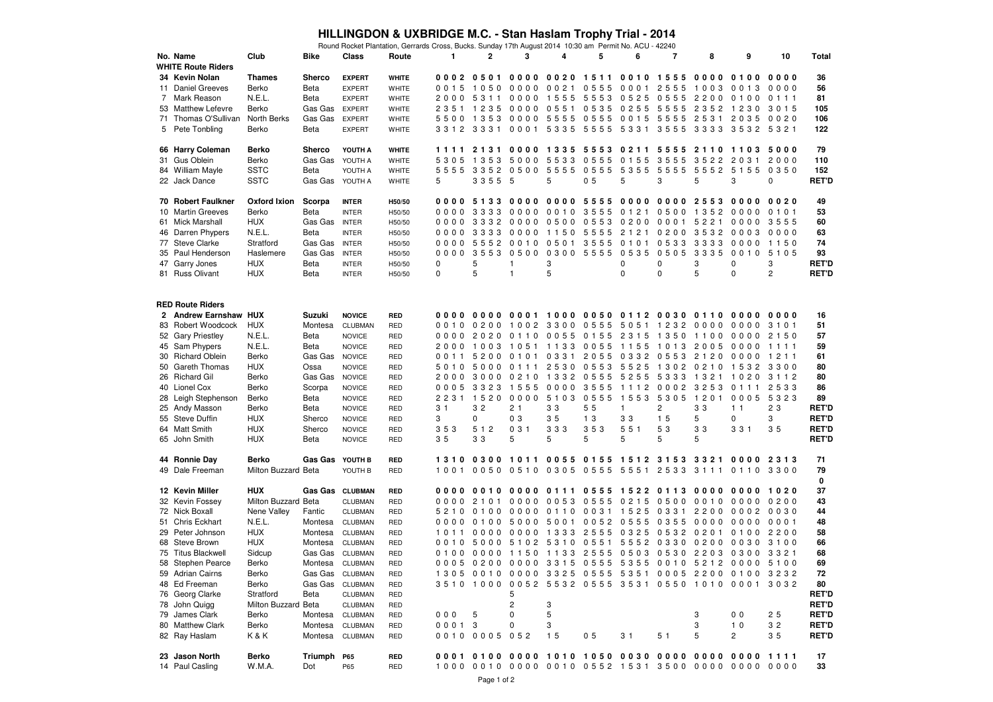## **HILLINGDON & UXBRIDGE M.C. - Stan Haslam Trophy Trial - 2014**

|    |                           |                     |                 |                 | Round Rocket Plantation, Gerrards Cross, Bucks. Sunday 17th August 2014 10:30 am Permit No. ACU - 42240 |              |                |                               |           |                          |                |                |                                                   |                |                |              |
|----|---------------------------|---------------------|-----------------|-----------------|---------------------------------------------------------------------------------------------------------|--------------|----------------|-------------------------------|-----------|--------------------------|----------------|----------------|---------------------------------------------------|----------------|----------------|--------------|
|    | No. Name                  | Club                | <b>Bike</b>     | Class           | Route                                                                                                   | 1            | 2              | 3                             | 4         | 5                        | 6              | $\overline{7}$ | 8                                                 | 9              | 10             | Total        |
|    | <b>WHITE Route Riders</b> |                     |                 |                 |                                                                                                         |              |                |                               |           |                          |                |                |                                                   |                |                |              |
|    | 34 Kevin Nolan            | <b>Thames</b>       | Sherco          | <b>EXPERT</b>   | <b>WHITE</b>                                                                                            |              | 0002 0501      | 0000                          |           | 0020 1511 0010 1555      |                |                | 0000                                              | 0100           | 0000           | 36           |
|    | 11 Daniel Greeves         | Berko               | Beta            | <b>EXPERT</b>   | WHITE                                                                                                   | 0015         | 1050           | 0000                          | 0 0 2 1   |                          | 0555 0001 2555 |                | 1003                                              | 0 0 1 3        | 0000           | 56           |
| 7  | Mark Reason               | N.E.L.              | Beta            | <b>EXPERT</b>   | WHITE                                                                                                   | 2000         | 5311           | 0000                          | 1555      | 5553                     | 0525           | 0555           | 2200                                              | 0100           | 0 1 1 1        | 81           |
|    | 53 Matthew Lefevre        | Berko               | Gas Gas         | <b>EXPERT</b>   | WHITE                                                                                                   |              |                | 2351 1235 0000                |           |                          |                |                | 0551 0535 0255 5555 2352 1230                     |                | 3 0 1 5        | 105          |
| 71 | Thomas O'Sullivan         | North Berks         | Gas Gas         | <b>EXPERT</b>   | WHITE                                                                                                   | 5500         |                | 1353 0000 5555                |           | 0555 0015                |                | 5555           | 2531                                              | 2035           | 0020           | 106          |
| 5  | Pete Tonbling             | Berko               | Beta            | <b>EXPERT</b>   | WHITE                                                                                                   |              |                |                               |           |                          |                |                | 3312 3331 0001 5335 5555 5331 3555 3333 3532 5321 |                |                | 122          |
|    |                           |                     |                 |                 |                                                                                                         |              |                |                               |           |                          |                |                |                                                   |                |                |              |
|    | 66 Harry Coleman          | Berko               | <b>Sherco</b>   | YOUTH A         | <b>WHITE</b>                                                                                            | 1111         |                |                               | 0000 1335 | 5553 0211 5555 2110      |                |                |                                                   | 1103           | 5000           | 79           |
|    |                           |                     |                 |                 |                                                                                                         |              |                | 5000                          | 5533      |                          |                |                |                                                   |                |                |              |
|    | 31 Gus Oblein             | Berko               | Gas Gas         | YOUTH A         | WHITE                                                                                                   | 5305         | 1 3 5 3        |                               |           | 0555                     | 0 1 5 5        | 3555           | 3522                                              | 2031           | 2000           | 110          |
|    | 84 William Mayle          | <b>SSTC</b>         | Beta            | YOUTH A         | WHITE                                                                                                   |              | 5555 3352 0500 |                               | 5555      | 0555                     | 5355           | 5555           | 5552 5155                                         |                | 0350           | 152          |
|    | 22 Jack Dance             | <b>SSTC</b>         | Gas Gas YOUTH A |                 | WHITE                                                                                                   | 5            | 3355 5         |                               | 5         | 0 <sub>5</sub>           | 5              | 3              | 5                                                 | 3              | 0              | <b>RET'D</b> |
|    |                           |                     |                 |                 |                                                                                                         |              |                |                               |           |                          |                |                |                                                   |                |                |              |
|    | 70 Robert Faulkner        | Oxford Ixion        | Scorpa          | <b>INTER</b>    | H50/50                                                                                                  |              | 0000 5133      | 0000                          |           | 0000 5555 0000 0000 2553 |                |                |                                                   | 0000           | 0020           | 49           |
|    | 10 Martin Greeves         | Berko               | Beta            | <b>INTER</b>    | H50/50                                                                                                  | 0000         | 3333           | 0000                          | 0010      | 3555                     | 0121           | 0500           | 1 3 5 2                                           | 0000           | 0 1 0 1        | 53           |
|    | 61 Mick Marshall          | <b>HUX</b>          | Gas Gas         | <b>INTER</b>    | H50/50                                                                                                  |              | 0000 3332 0000 |                               | 0500      |                          | 0553 0200 0001 |                | 5221                                              | 0000           | 3555           | 60           |
|    | 46 Darren Phypers         | N.E.L.              | Beta            | <b>INTER</b>    | H50/50                                                                                                  | 0000         | 3333           | 0000                          | 1150      | 5555                     | 2 1 2 1        | 0200           | 3532                                              | 0003           | 0000           | 63           |
|    | 77 Steve Clarke           | Stratford           | Gas Gas         | <b>INTER</b>    | H50/50                                                                                                  |              | 0000 5552 0010 |                               | 0501      | 3555                     | 0 1 0 1        | 0533           | 3333                                              | 0000           | 1150           | 74           |
| 35 | Paul Henderson            | Haslemere           | Gas Gas         | <b>INTER</b>    | H50/50                                                                                                  | 0000         | 3553           | 0500                          | 0300      | 5555                     | 0535           | 0505           | 3335                                              | 0010           | 5 1 0 5        | 93           |
|    | 47 Garry Jones            | <b>HUX</b>          | Beta            | <b>INTER</b>    | H50/50                                                                                                  | 0            | 5              | 1                             | 3         |                          | 0              | 0              | 3                                                 | 0              | 3              | RET'D        |
|    | 81 Russ Olivant           | <b>HUX</b>          | Beta            | <b>INTER</b>    | H50/50                                                                                                  | $\mathbf{0}$ | 5              | $\overline{1}$                | 5         |                          | 0              | $\mathbf 0$    | 5                                                 | 0              | $\overline{2}$ | <b>RET'D</b> |
|    |                           |                     |                 |                 |                                                                                                         |              |                |                               |           |                          |                |                |                                                   |                |                |              |
|    |                           |                     |                 |                 |                                                                                                         |              |                |                               |           |                          |                |                |                                                   |                |                |              |
|    | <b>RED Route Riders</b>   |                     |                 |                 |                                                                                                         |              |                |                               |           |                          |                |                |                                                   |                |                |              |
|    | 2 Andrew Earnshaw HUX     |                     | Suzuki          | <b>NOVICE</b>   | <b>RED</b>                                                                                              |              |                |                               |           |                          |                |                | 0000 0000 0001 1000 0050 0112 0030 0110           | 0000           | 0000           | 16           |
|    |                           |                     |                 |                 |                                                                                                         | 0.010        |                |                               |           |                          |                |                |                                                   |                |                |              |
|    | 83 Robert Woodcock        | <b>HUX</b>          | Montesa         | CLUBMAN         | <b>RED</b>                                                                                              |              | 0200           | 1002 3300 0555 5051           |           |                          |                | 1 2 3 2        | 0000                                              | 0000           | 3 1 0 1        | 51           |
|    | 52 Gary Priestley         | N.E.L.              | Beta            | <b>NOVICE</b>   | <b>RED</b>                                                                                              |              |                | 0000 2020 0110 0055 0155 2315 |           |                          |                | 1350 1100      |                                                   | 0000           | 2 1 5 0        | 57           |
|    | 45 Sam Phypers            | N.E.L.              | Beta            | <b>NOVICE</b>   | <b>RED</b>                                                                                              | 2000         | 1003           | 1051                          | 1 1 3 3   | 0055                     | 1155           | 1013           | 2005                                              | 0000           | 1111           | 59           |
|    | 30 Richard Oblein         | Berko               | Gas Gas         | <b>NOVICE</b>   | <b>RED</b>                                                                                              |              |                | 0011 5200 0101                |           | 0331 2055 0332 0553      |                |                | 2120                                              | 0000           | 1211           | 61           |
| 50 | Gareth Thomas             | <b>HUX</b>          | Ossa            | <b>NOVICE</b>   | <b>RED</b>                                                                                              | 5010         | 5000           | 0 1 1 1                       | 2530      | 0553                     | 5525           | 1 3 0 2        | 0210                                              | 1532           | 3300           | 80           |
|    | 26 Richard Gil            | Berko               | Gas Gas         | <b>NOVICE</b>   | <b>RED</b>                                                                                              |              | 2000 3000 0210 |                               |           | 1332 0555 5255           |                | 5333           | 1321                                              | 1020 3112      |                | 80           |
|    | 40 Lionel Cox             | Berko               | Scorpa          | <b>NOVICE</b>   | <b>RED</b>                                                                                              | 0005         | 3323 1555      |                               | 0000      | 3555                     | 1112           | 0002           | 3253                                              | 0 1 1 1        | 2533           | 86           |
|    | 28 Leigh Stephenson       | Berko               | Beta            | <b>NOVICE</b>   | <b>RED</b>                                                                                              |              | 2231 1520      | 0000                          | 5 1 0 3   | 0555                     | 1 5 5 3        | 5305           | 1 2 0 1                                           | 0005           | 5323           | 89           |
|    | 25 Andy Masson            | Berko               | Beta            | <b>NOVICE</b>   | <b>RED</b>                                                                                              | 31           | 32             | 21                            | 33        | 55                       | $\mathbf{1}$   | 2              | 33                                                | 1 <sub>1</sub> | 23             | <b>RET'D</b> |
|    | 55 Steve Duffin           | <b>HUX</b>          | Sherco          | <b>NOVICE</b>   | <b>RED</b>                                                                                              | 3            | 0              | 0 <sub>3</sub>                | 35        | 1 <sub>3</sub>           | 33             | 15             | 5                                                 | 0              | 3              | <b>RET'D</b> |
|    | 64 Matt Smith             | <b>HUX</b>          | Sherco          | <b>NOVICE</b>   | <b>RED</b>                                                                                              | 353          | 5 1 2          | 031                           | 333       | 353                      | 551            | 53             | 33                                                | 3 3 1          | 35             | <b>RET'D</b> |
|    | 65 John Smith             | <b>HUX</b>          | Beta            | <b>NOVICE</b>   | <b>RED</b>                                                                                              | 35           | 33             | 5                             | 5         | 5                        | 5              | 5              | 5                                                 |                |                | <b>RET'D</b> |
|    |                           |                     |                 |                 |                                                                                                         |              |                |                               |           |                          |                |                |                                                   |                |                |              |
|    | 44 Ronnie Day             | Berko               | <b>Gas Gas</b>  | YOUTH B         | <b>RED</b>                                                                                              | 1310         |                | 0300 1011                     |           | 0055 0155 1512 3153 3321 |                |                |                                                   | 0000           | 2 3 1 3        | 71           |
|    | 49 Dale Freeman           | Milton Buzzard Beta |                 | YOUTH B         | <b>RED</b>                                                                                              |              |                |                               |           |                          |                |                | 1001 0050 0510 0305 0555 5551 2533 3111           | 0110 3300      |                | 79           |
|    |                           |                     |                 |                 |                                                                                                         |              |                |                               |           |                          |                |                |                                                   |                |                | 0            |
|    | 12 Kevin Miller           | <b>HUX</b>          | Gas Gas CLUBMAN |                 | <b>RED</b>                                                                                              | 0000         |                | 00100000                      |           | 0111 0555 1522 0113 0000 |                |                |                                                   | 0000 1020      |                | 37           |
|    | 32 Kevin Fossey           | Milton Buzzard Beta |                 |                 | <b>RED</b>                                                                                              | 0000         | 2 1 0 1        | 0000                          | 0053      | 0555                     | 0 2 1 5        | 0500           | 0010                                              | 0000           | 0200           | 43           |
|    |                           |                     |                 | CLUBMAN         |                                                                                                         | 5210         | 0100           | 0000                          | 0110      |                          | 0031 1525      | 0331           | 2200                                              | 0002           | 0030           | 44           |
|    | 72 Nick Boxall            | Nene Valley         | Fantic          | CLUBMAN         | <b>RED</b>                                                                                              |              |                |                               |           |                          |                |                |                                                   |                |                |              |
|    | 51 Chris Eckhart          | N.E.L.              | Montesa         | CLUBMAN         | <b>RED</b>                                                                                              | 0000         | 0100           | 5000                          | 5001      |                          | 0052 0555      | 0 3 5 5        | 0000                                              | 0000           | 0001           | 48           |
|    | 29 Peter Johnson          | <b>HUX</b>          | Montesa         | CLUBMAN         | <b>RED</b>                                                                                              | 1011         | 0000           | 0000                          | 1 3 3 3   | 2555                     | 0 3 2 5        | 0532           | 0201                                              | 0100           | 2200           | 58           |
|    | 68 Steve Brown            | <b>HUX</b>          | Montesa         | CLUBMAN         | <b>RED</b>                                                                                              | 0010         | 5000           | 5 1 0 2                       | 5310      | 0551                     |                | 5552 0330      | 0200                                              | 0030           | 3100           | 66           |
|    | 75 Titus Blackwell        | Sidcup              | Gas Gas         | CLUBMAN         | <b>RED</b>                                                                                              | 0100         | 0000           | 1150                          |           |                          |                |                | 1133 2555 0503 0530 2203 0300                     |                | 3321           | 68           |
|    | 58 Stephen Pearce         | Berko               | Montesa         | CLUBMAN         | <b>RED</b>                                                                                              |              |                |                               |           |                          |                |                | 0005 0200 0000 3315 0555 5355 0010 5212 0000 5100 |                |                | 69           |
|    | 59 Adrian Cairns          | Berko               | Gas Gas         | CLUBMAN         | RED                                                                                                     |              |                |                               |           |                          |                |                | 1305 0010 0000 3325 0555 5351 0005 2200           | 0100           | 3232           | 72           |
|    | 48 Ed Freeman             | Berko               |                 | Gas Gas CLUBMAN | <b>RED</b>                                                                                              |              |                |                               |           |                          |                |                | 3510 1000 0052 5532 0555 3531 0550 1010 0001 3032 |                |                | 80           |
|    | 76 Georg Clarke           | Stratford           | Beta            | CLUBMAN         | <b>RED</b>                                                                                              |              |                | 5                             |           |                          |                |                |                                                   |                |                | RET'D        |
|    | 78 John Quigg             | Milton Buzzard Beta |                 | CLUBMAN         | <b>RED</b>                                                                                              |              |                | 2                             | 3         |                          |                |                |                                                   |                |                | <b>RET'D</b> |
|    | 79 James Clark            | Berko               | Montesa         | CLUBMAN         | <b>RED</b>                                                                                              | 000          | 5              | 0                             | 5         |                          |                |                | 3                                                 | 0 <sub>0</sub> | 25             | <b>RET'D</b> |
|    | 80 Matthew Clark          | Berko               | Montesa         | <b>CLUBMAN</b>  | <b>RED</b>                                                                                              | 00013        |                | 0                             | 3         |                          |                |                | 3                                                 | 1 <sub>0</sub> | 32             | <b>RET'D</b> |
|    | 82 Ray Haslam             | K&K                 | Montesa         | <b>CLUBMAN</b>  | <b>RED</b>                                                                                              |              | 0010 0005 052  |                               | 15        | 0 <sub>5</sub>           | 3 <sub>1</sub> | 5 <sub>1</sub> | 5                                                 | 2              | 35             | <b>RET'D</b> |
|    |                           |                     |                 |                 |                                                                                                         |              |                |                               |           |                          |                |                |                                                   |                |                |              |
|    | 23 Jason North            | Berko               | Triumph         | <b>P65</b>      | <b>RED</b>                                                                                              |              |                |                               |           |                          |                |                |                                                   |                |                | 17           |
|    | 14 Paul Casling           | W.M.A.              | Dot             | P65             | <b>RED</b>                                                                                              |              |                |                               |           |                          |                |                | 1000 0010 0000 0010 0552 1531 3500 0000 0000 0000 |                |                | 33           |
|    |                           |                     |                 |                 |                                                                                                         |              |                |                               |           |                          |                |                |                                                   |                |                |              |